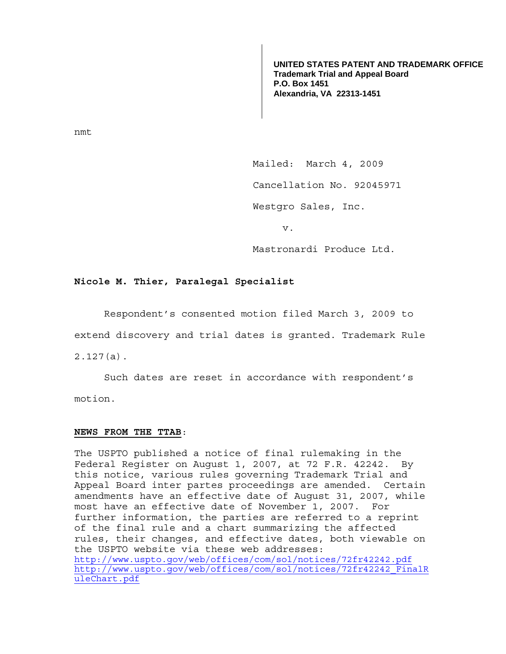**UNITED STATES PATENT AND TRADEMARK OFFICE Trademark Trial and Appeal Board P.O. Box 1451 Alexandria, VA 22313-1451**

nmt

Mailed: March 4, 2009

Cancellation No. 92045971

Westgro Sales, Inc.

v.

Mastronardi Produce Ltd.

## **Nicole M. Thier, Paralegal Specialist**

Respondent's consented motion filed March 3, 2009 to

extend discovery and trial dates is granted. Trademark Rule

2.127(a).

 Such dates are reset in accordance with respondent's motion.

## **NEWS FROM THE TTAB**:

The USPTO published a notice of final rulemaking in the Federal Register on August 1, 2007, at 72 F.R. 42242. By this notice, various rules governing Trademark Trial and Appeal Board inter partes proceedings are amended. Certain amendments have an effective date of August 31, 2007, while most have an effective date of November 1, 2007. For further information, the parties are referred to a reprint of the final rule and a chart summarizing the affected rules, their changes, and effective dates, both viewable on the USPTO website via these web addresses: http://www.uspto.gov/web/offices/com/sol/notices/72fr42242.pdf http://www.uspto.gov/web/offices/com/sol/notices/72fr42242\_FinalR uleChart.pdf